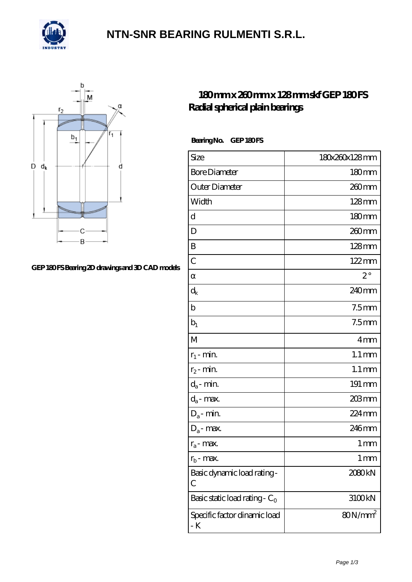

### **[NTN-SNR BEARING RULMENTI S.R.L.](https://m.confidencemenimprov.com)**



#### GEP 180FS Bearing 2D drawings and 3D CAD models

### **[180 mm x 260 mm x 128 mm skf GEP 180 FS](https://m.confidencemenimprov.com/az-64975140-skf-gep-180-fs-radial-spherical-plain-bearings.html) [Radial spherical plain bearings](https://m.confidencemenimprov.com/az-64975140-skf-gep-180-fs-radial-spherical-plain-bearings.html)**

Bearing No. GEP 180FS

| Size                                | 180x260x128mm       |
|-------------------------------------|---------------------|
| <b>Bore Diameter</b>                | $180 \text{mm}$     |
| Outer Diameter                      | 260mm               |
| Width                               | 128mm               |
| d                                   | 180mm               |
| D                                   | 260 <sub>mm</sub>   |
| B                                   | $128$ mm            |
| $\overline{C}$                      | $122 \text{mm}$     |
|                                     | $2^{\circ}$         |
| $\rm{d}_k$                          | 240mm               |
| b                                   | 7.5 <sub>mm</sub>   |
| $b_1$                               | 7.5 <sub>mm</sub>   |
| M                                   | 4mm                 |
| $r_1$ - min.                        | $1.1 \,\mathrm{mm}$ |
| $r_2$ - min.                        | $1.1 \,\mathrm{mm}$ |
| $d_a$ - min.                        | 191 mm              |
| $d_a$ - max.                        | $203$ mm            |
| $D_a$ - min.                        | 224mm               |
| $D_a$ - max.                        | 246mm               |
| $r_a$ - max.                        | 1 mm                |
| $r_{h}$ - max.                      | 1 mm                |
| Basic dynamic load rating-<br>С     | 2080kN              |
| Basic static load rating - $C_0$    | 3100kN              |
| Specific factor dinamic load<br>- K | $80N/mm^2$          |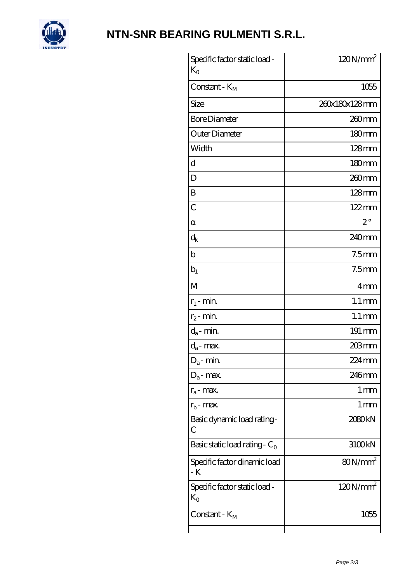

# **[NTN-SNR BEARING RULMENTI S.R.L.](https://m.confidencemenimprov.com)**

| Specific factor static load -<br>$K_{O}$ | $120N/mm^2$          |
|------------------------------------------|----------------------|
| Constant - $K_M$                         | 1055                 |
| Size                                     | 260x180x128mm        |
| <b>Bore Diameter</b>                     | $260$ mm             |
| Outer Diameter                           | 180mm                |
| Width                                    | $128$ mm             |
| d                                        | 180mm                |
| D                                        | 260mm                |
| B                                        | $128$ mm             |
| $\mathcal{C}$                            | $122 \text{mm}$      |
|                                          | $2^{\circ}$          |
| $d_k$                                    | 240mm                |
| $\mathbf b$                              | 7.5 <sub>mm</sub>    |
| $\rm b_1$                                | 7.5 <sub>mm</sub>    |
| M                                        | 4mm                  |
| $r_1$ - min.                             | $1.1 \,\mathrm{mm}$  |
| $r_2$ - min.                             | $1.1 \,\mathrm{mm}$  |
| $d_a$ - min.                             | 191 mm               |
| $d_a$ - max.                             | 203mm                |
| $D_a$ - min.                             | $224 \,\mathrm{mm}$  |
| $D_a$ - max.                             | 246mm                |
| $r_a$ - max.                             | 1 <sub>mm</sub>      |
| $r_{\rm b}$ - max.                       | $1 \,\mathrm{mm}$    |
| Basic dynamic load rating-<br>С          | 2080kN               |
| Basic static load rating - $C_0$         | 3100kN               |
| Specific factor dinamic load<br>- K      | $80N/mm^2$           |
| Specific factor static load -<br>$K_0$   | 120N/mm <sup>2</sup> |
| Constant - K <sub>M</sub>                | 1055                 |
|                                          |                      |